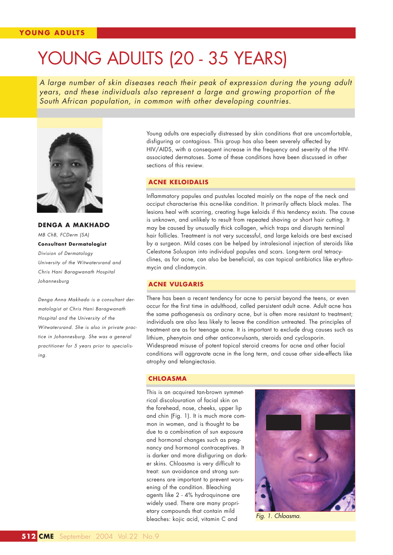# YOUNG ADULTS (20 - 35 YEARS)

*A large number of skin diseases reach their peak of expression during the young adult years, and these individuals also represent a large and growing proportion of the South African population, in common with other developing countries.*



**DENGA A MAKHADO** *MB ChB, FCDerm (SA)* **Consultant Dermatologist** *Division of Dermatology University of the Witwatersrand and Chris Hani Baragwanath Hospital Johannesburg*

*Denga Anna Makhado is a consultant dermatologist at Chris Hani Baragwanath Hospital and the University of the Witwatersrand. She is also in private practice in Johannesburg. She was a general practitioner for 5 years prior to specialising.*

Young adults are especially distressed by skin conditions that are uncomfortable, disfiguring or contagious. This group has also been severely affected by HIV/AIDS, with a consequent increase in the frequency and severity of the HIVassociated dermatoses. Some of these conditions have been discussed in other sections of this review.

## **ACNE KELOIDALIS**

Inflammatory papules and pustules located mainly on the nape of the neck and occiput characterise this acne-like condition. It primarily affects black males. The lesions heal with scarring, creating huge keloids if this tendency exists. The cause is unknown, and unlikely to result from repeated shaving or short hair cutting. It may be caused by unusually thick collagen, which traps and disrupts terminal hair follicles. Treatment is not very successful, and large keloids are best excised by a surgeon. Mild cases can be helped by intralesional injection of steroids like Celestone Soluspan into individual papules and scars. Long-term oral tetracyclines, as for acne, can also be beneficial, as can topical antibiotics like erythromycin and clindamycin.

#### **ACNE VULGARIS**

There has been a recent tendency for acne to persist beyond the teens, or even occur for the first time in adulthood, called persistent adult acne. Adult acne has the same pathogenesis as ordinary acne, but is often more resistant to treatment; individuals are also less likely to leave the condition untreated. The principles of treatment are as for teenage acne. It is important to exclude drug causes such as lithium, phenytoin and other anticonvulsants, steroids and cyclosporin. Widespread misuse of potent topical steroid creams for acne and other facial conditions will aggravate acne in the long term, and cause other side-effects like atrophy and telangiectasia.

#### **CHLOASMA**

This is an acquired tan-brown symmetrical discolouration of facial skin on the forehead, nose, cheeks, upper lip and chin (Fig. 1). It is much more common in women, and is thought to be due to a combination of sun exposure and hormonal changes such as pregnancy and hormonal contraceptives. It is darker and more disfiguring on darker skins. Chloasma is very difficult to treat: sun avoidance and strong sunscreens are important to prevent worsening of the condition. Bleaching agents like 2 - 4% hydroquinone are widely used. There are many proprietary compounds that contain mild bleaches: kojic acid, vitamin C and *Fig. 1. Chloasma.*

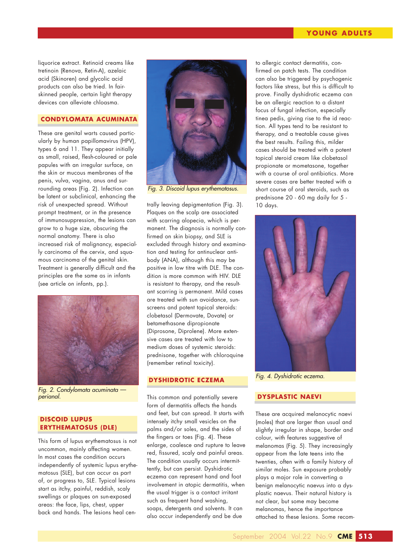## **YOUNG ADULTS**

liquorice extract. Retinoid creams like tretinoin (Renova, Retin-A), azelaic acid (Skinoren) and glycolic acid products can also be tried. In fairskinned people, certain light therapy devices can alleviate chloasma.

# **CONDYLOMATA ACUMINATA**

These are genital warts caused particularly by human papillomavirus (HPV), types 6 and 11. They appear initially as small, raised, flesh-coloured or pale papules with an irregular surface, on the skin or mucous membranes of the penis, vulva, vagina, anus and surrounding areas (Fig. 2). Infection can be latent or subclinical, enhancing the risk of unexpected spread. Without prompt treatment, or in the presence of immunosuppression, the lesions can grow to a huge size, obscuring the normal anatomy. There is also increased risk of malignancy, especially carcinoma of the cervix, and squamous carcinoma of the genital skin. Treatment is generally difficult and the principles are the same as in infants (see article on infants, pp.).



*Fig. 2. Condylomata acuminata perianal.*

## **DISCOID LUPUS ERYTHEMATOSUS (DLE)**

This form of lupus erythematosus is not uncommon, mainly affecting women. In most cases the condition occurs independently of systemic lupus erythematosus (SLE), but can occur as part of, or progress to, SLE. Typical lesions start as itchy, painful, reddish, scaly swellings or plaques on sun-exposed areas: the face, lips, chest, upper back and hands. The lesions heal cen-



*Fig. 3. Discoid lupus erythematosus.*

trally leaving depigmentation (Fig. 3). Plaques on the scalp are associated with scarring alopecia, which is permanent. The diagnosis is normally confirmed on skin biopsy, and SLE is excluded through history and examination and testing for antinuclear antibody (ANA), although this may be positive in low titre with DLE. The condition is more common with HIV. DLE is resistant to therapy, and the resultant scarring is permanent. Mild cases are treated with sun avoidance, sunscreens and potent topical steroids: clobetasol (Dermovate, Dovate) or betamethasone dipropionate (Diprosone, Diprolene). More extensive cases are treated with low to medium doses of systemic steroids: prednisone, together with chloroquine (remember retinal toxicity).

## **DYSHIDROTIC ECZEMA**

This common and potentially severe form of dermatitis affects the hands and feet, but can spread. It starts with intensely itchy small vesicles on the palms and/or soles, and the sides of the fingers or toes (Fig. 4). These enlarge, coalesce and rupture to leave red, fissured, scaly and painful areas. The condition usually occurs intermittently, but can persist. Dyshidrotic eczema can represent hand and foot involvement in atopic dermatitis, when the usual trigger is a contact irritant such as frequent hand washing, soaps, detergents and solvents. It can also occur independently and be due

to allergic contact dermatitis, confirmed on patch tests. The condition can also be triggered by psychogenic factors like stress, but this is difficult to prove. Finally dyshidrotic eczema can be an allergic reaction to a distant focus of fungal infection, especially tinea pedis, giving rise to the id reaction. All types tend to be resistant to therapy, and a treatable cause gives the best results. Failing this, milder cases should be treated with a potent topical steroid cream like clobetasol propionate or mometasone, together with a course of oral antibiotics. More severe cases are better treated with a short course of oral steroids, such as prednisone 20 - 60 mg daily for 5 - 10 days.



*Fig. 4. Dyshidrotic eczema.*

## **DYSPLASTIC NAEVI**

These are acquired melanocytic naevi (moles) that are larger than usual and slightly irregular in shape, border and colour, with features suggestive of melanomas (Fig. 5). They increasingly appear from the late teens into the twenties, often with a family history of similar moles. Sun exposure probably plays a major role in converting a benign melanocytic naevus into a dysplastic naevus. Their natural history is not clear, but some may become melanomas, hence the importance attached to these lesions. Some recom-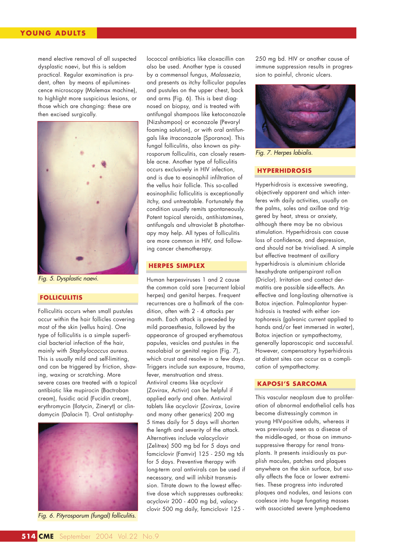## **YOUNG ADULTS**

mend elective removal of all suspected dysplastic naevi, but this is seldom practical. Regular examination is prudent, often by means of epiluminescence microscopy (Molemax machine), to highlight more suspicious lesions, or those which are changing: these are then excised surgically.



*Fig. 5. Dysplastic naevi.*

## **FOLLICULITIS**

Folliculitis occurs when small pustules occur within the hair follicles covering most of the skin (vellus hairs). One type of folliculitis is a simple superficial bacterial infection of the hair, mainly with *Staphylococcus aureus*. This is usually mild and self-limiting, and can be triggered by friction, shaving, waxing or scratching. More severe cases are treated with a topical antibiotic like mupirocin (Bactroban cream), fusidic acid (Fucidin cream), erythromycin (Ilotycin, Zineryt) or clindamycin (Dalacin T). Oral antistaphy-



*Fig. 6. Pityrosporum (fungal) folliculitis.*

lococcal antibiotics like cloxacillin can also be used. Another type is caused by a commensal fungus, *Malassezia*, and presents as itchy follicular papules and pustules on the upper chest, back and arms (Fig. 6). This is best diagnosed on biopsy, and is treated with antifungal shampoos like ketoconazole (Nizshampoo) or econazole (Pevaryl foaming solution), or with oral antifungals like itraconazole (Sporanox). This fungal folliculitis, also known as pityrosporum folliculitis, can closely resemble acne. Another type of folliculitis occurs exclusively in HIV infection, and is due to eosinophil infiltration of the vellus hair follicle. This so-called eosinophilic folliculitis is exceptionally itchy, and untreatable. Fortunately the condition usually remits spontaneously. Potent topical steroids, antihistamines, antifungals and ultraviolet B phototherapy may help. All types of folliculitis are more common in HIV, and following cancer chemotherapy.

#### **HERPES SIMPLEX**

Human herpesviruses 1 and 2 cause the common cold sore (recurrent labial herpes) and genital herpes. Frequent recurrences are a hallmark of the condition, often with 2 - 4 attacks per month. Each attack is preceded by mild paraesthesia, followed by the appearance of grouped erythematous papules, vesicles and pustules in the nasolabial or genital region (Fig. 7), which crust and resolve in a few days. Triggers include sun exposure, trauma, fever, menstruation and stress. Antiviral creams like acyclovir (Zovirax, Activir) can be helpful if applied early and often. Antiviral tablets like acyclovir (Zovirax, Lovire and many other generics) 200 mg 5 times daily for 5 days will shorten the length and severity of the attack. Alternatives include valacyclovir (Zelitrex) 500 mg bd for 5 days and famciclovir (Famvir) 125 - 250 mg tds for 5 days. Preventive therapy with long-term oral antivirals can be used if necessary, and will inhibit transmission. Titrate down to the lowest effective dose which suppresses outbreaks: acyclovir 200 - 400 mg bd, valacyclovir 500 mg daily, famciclovir 125 -

250 mg bd. HIV or another cause of immune suppression results in progression to painful, chronic ulcers.



*Fig. 7. Herpes labialis.*

# **HYPERHIDROSIS**

Hyperhidrosis is excessive sweating, objectively apparent and which interferes with daily activities, usually on the palms, soles and axillae and triggered by heat, stress or anxiety, although there may be no obvious stimulation. Hyperhidrosis can cause loss of confidence, and depression, and should not be trivialised. A simple but effective treatment of axillary hyperhidrosis is aluminium chloride hexahydrate antiperspirant roll-on (Driclor). Irritation and contact dermatitis are possible side-effects. An effective and long-lasting alternative is Botox injection. Palmoplantar hyperhidrosis is treated with either iontophoresis (galvanic current applied to hands and/or feet immersed in water), Botox injection or sympathectomy, generally laparoscopic and successful. However, compensatory hyperhidrosis at distant sites can occur as a complication of sympathectomy.

## **KAPOSI'S SARCOMA**

This vascular neoplasm due to proliferation of abnormal endothelial cells has become distressingly common in young HIV-positive adults, whereas it was previously seen as a disease of the middle-aged, or those on immunosuppressive therapy for renal transplants. It presents insidiously as purplish macules, patches and plaques anywhere on the skin surface, but usually affects the face or lower extremities. These progress into indurated plaques and nodules, and lesions can coalesce into huge fungating masses with associated severe lymphoedema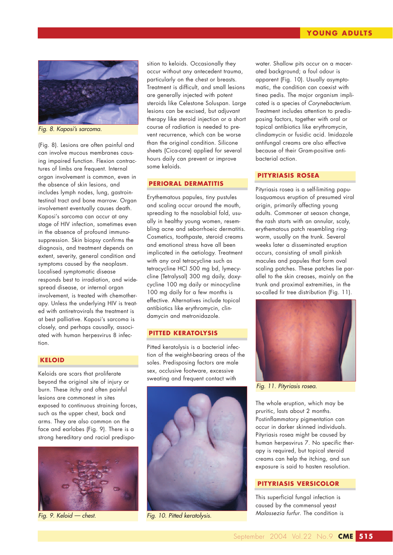

*Fig. 8. Kaposi's sarcoma.*

(Fig. 8). Lesions are often painful and can involve mucous membranes causing impaired function. Flexion contractures of limbs are frequent. Internal organ involvement is common, even in the absence of skin lesions, and includes lymph nodes, lung, gastrointestinal tract and bone marrow. Organ involvement eventually causes death. Kaposi's sarcoma can occur at any stage of HIV infection, sometimes even in the absence of profound immunosuppression. Skin biopsy confirms the diagnosis, and treatment depends on extent, severity, general condition and symptoms caused by the neoplasm. Localised symptomatic disease responds best to irradiation, and widespread disease, or internal organ involvement, is treated with chemotherapy. Unless the underlying HIV is treated with antiretrovirals the treatment is at best palliative. Kaposi's sarcoma is closely, and perhaps causally, associated with human herpesvirus 8 infection.

# **KELOID**

Keloids are scars that proliferate beyond the original site of injury or burn. These itchy and often painful lesions are commonest in sites exposed to continuous straining forces, such as the upper chest, back and arms. They are also common on the face and earlobes (Fig. 9). There is a strong hereditary and racial predispo-



sition to keloids. Occasionally they occur without any antecedent trauma, particularly on the chest or breasts. Treatment is difficult, and small lesions are generally injected with potent steroids like Celestone Soluspan. Large lesions can be excised, but adjuvant therapy like steroid injection or a short course of radiation is needed to prevent recurrence, which can be worse than the original condition. Silicone sheets (Cica-care) applied for several hours daily can prevent or improve some keloids.

#### **PERIORAL DERMATITIS**

Erythematous papules, tiny pustules and scaling occur around the mouth, spreading to the nasolabial fold, usually in healthy young women, resembling acne and seborrhoeic dermatitis. Cosmetics, toothpaste, steroid creams and emotional stress have all been implicated in the aetiology. Treatment with any oral tetracycline such as tetracycline HCl 500 mg bd, lymecycline (Tetralysal) 300 mg daily, doxycycline 100 mg daily or minocycline 100 mg daily for a few months is effective. Alternatives include topical antibiotics like erythromycin, clindamycin and metronidazole.

#### **PITTED KERATOLYSIS**

Pitted keratolysis is a bacterial infection of the weight-bearing areas of the soles. Predisposing factors are male sex, occlusive footware, excessive sweating and frequent contact with



*Fig. 9. Keloid — chest. Fig. 10. Pitted keratolysis.*

water. Shallow pits occur on a macerated background; a foul odour is apparent (Fig. 10). Usually asymptomatic, the condition can coexist with tinea pedis. The major organism implicated is a species of *Corynebacterium*. Treatment includes attention to predisposing factors, together with oral or topical antibiotics like erythromycin, clindamycin or fusidic acid. Imidazole antifungal creams are also effective because of their Gram-positive antibacterial action.

## **PITYRIASIS ROSEA**

Pityriasis rosea is a self-limiting papulosquamous eruption of presumed viral origin, primarily affecting young adults. Commoner at season change, the rash starts with an annular, scaly, erythematous patch resembling ringworm, usually on the trunk. Several weeks later a disseminated eruption occurs, consisting of small pinkish macules and papules that form oval scaling patches. These patches lie parallel to the skin creases, mainly on the trunk and proximal extremities, in the so-called fir tree distribution (Fig. 11).



*Fig. 11. Pityriasis rosea.*

The whole eruption, which may be pruritic, lasts about 2 months. Postinflammatory pigmentation can occur in darker skinned individuals. Pityriasis rosea might be caused by human herpesvirus 7. No specific therapy is required, but topical steroid creams can help the itching, and sun exposure is said to hasten resolution.

#### **PITYRIASIS VERSICOLOR**

This superficial fungal infection is caused by the commensal yeast *Malassezia furfur*. The condition is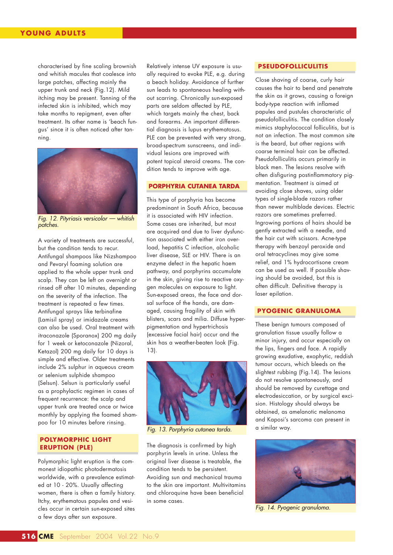characterised by fine scaling brownish and whitish macules that coalesce into large patches, affecting mainly the upper trunk and neck (Fig.12). Mild itching may be present. Tanning of the infected skin is inhibited, which may take months to repigment, even after treatment. Its other name is 'beach fungus' since it is often noticed after tanning.



*Fig. 12. Pityriasis versicolor — whitish patches.*

A variety of treatments are successful, but the condition tends to recur. Antifungal shampoos like Nizshampoo and Pevaryl foaming solution are applied to the whole upper trunk and scalp. They can be left on overnight or rinsed off after 10 minutes, depending on the severity of the infection. The treatment is repeated a few times. Antifungal sprays like terbinafine (Lamisil spray) or imidazole creams can also be used. Oral treatment with itraconazole (Sporanox) 200 mg daily for 1 week or ketoconazole (Nizoral, Ketazol) 200 mg daily for 10 days is simple and effective. Older treatments include 2% sulphur in aqueous cream or selenium sulphide shampoo (Selsun). Selsun is particularly useful as a prophylactic regimen in cases of frequent recurrence: the scalp and upper trunk are treated once or twice monthly by applying the foamed shampoo for 10 minutes before rinsing.

## **POLYMORPHIC LIGHT ERUPTION (PLE)**

Polymorphic light eruption is the commonest idiopathic photodermatosis worldwide, with a prevalence estimated at 10 - 20%. Usually affecting women, there is often a family history. Itchy, erythematous papules and vesicles occur in certain sun-exposed sites a few days after sun exposure.

Relatively intense UV exposure is usually required to evoke PLE, e.g. during a beach holiday. Avoidance of further sun leads to spontaneous healing without scarring. Chronically sun-exposed parts are seldom affected by PLE, which targets mainly the chest, back and forearms. An important differential diagnosis is lupus erythematosus. PLE can be prevented with very strong, broad-spectrum sunscreens, and individual lesions are improved with potent topical steroid creams. The condition tends to improve with age.

#### **PORPHYRIA CUTANEA TARDA**

This type of porphyria has become predominant in South Africa, because it is associated with HIV infection. Some cases are inherited, but most are acquired and due to liver dysfunction associated with either iron overload, hepatitis C infection, alcoholic liver disease, SLE or HIV. There is an enzyme defect in the hepatic haem pathway, and porphyrins accumulate in the skin, giving rise to reactive oxygen molecules on exposure to light. Sun-exposed areas, the face and dorsal surface of the hands, are damaged, causing fragility of skin with blisters, scars and milia. Diffuse hyperpigmentation and hypertrichosis (excessive facial hair) occur and the skin has a weather-beaten look (Fig. 13).



*Fig. 13. Porphyria cutanea tarda.*

The diagnosis is confirmed by high porphyrin levels in urine. Unless the original liver disease is treatable, the condition tends to be persistent. Avoiding sun and mechanical trauma to the skin are important. Multivitamins and chloroquine have been beneficial in some cases.

# **PSEUDOFOLLICULITIS**

Close shaving of coarse, curly hair causes the hair to bend and penetrate the skin as it grows, causing a foreign body-type reaction with inflamed papules and pustules characteristic of pseudofolliculitis. The condition closely mimics staphylococcal folliculitis, but is not an infection. The most common site is the beard, but other regions with coarse terminal hair can be affected. Pseudofolliculitis occurs primarily in black men. The lesions resolve with often disfiguring postinflammatory pigmentation. Treatment is aimed at avoiding close shaves, using older types of single-blade razors rather than newer multiblade devices. Electric razors are sometimes preferred. Ingrowing portions of hairs should be gently extracted with a needle, and the hair cut with scissors. Acne-type therapy with benzoyl peroxide and oral tetracyclines may give some relief, and 1% hydrocortisone cream can be used as well. If possible shaving should be avoided, but this is often difficult. Definitive therapy is laser epilation.

#### **PYOGENIC GRANULOMA**

These benign tumours composed of granulation tissue usually follow a minor injury, and occur especially on the lips, fingers and face. A rapidly growing exudative, exophytic, reddish tumour occurs, which bleeds on the slightest rubbing (Fig.14). The lesions do not resolve spontaneously, and should be removed by curettage and electrodesiccation, or by surgical excision. Histology should always be obtained, as amelanotic melanoma and Kaposi's sarcoma can present in a similar way.



*Fig. 14. Pyogenic granuloma.*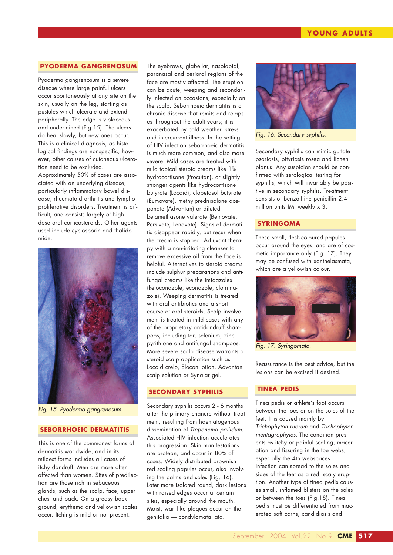#### **PYODERMA GANGRENOSUM**

Pyoderma gangrenosum is a severe disease where large painful ulcers occur spontaneously at any site on the skin, usually on the leg, starting as pustules which ulcerate and extend peripherally. The edge is violaceous and undermined (Fig.15). The ulcers do heal slowly, but new ones occur. This is a clinical diagnosis, as histological findings are nonspecific; however, other causes of cutaneous ulceration need to be excluded. Approximately 50% of cases are associated with an underlying disease, particularly inflammatory bowel disease, rheumatoid arthritis and lymphoproliferative disorders. Treatment is difficult, and consists largely of highdose oral corticosteroids. Other agents used include cyclosporin and thalidomide.



*Fig. 15. Pyoderma gangrenosum.*

## **SEBORRHOEIC DERMATITIS**

This is one of the commonest forms of dermatitis worldwide, and in its mildest forms includes all cases of itchy dandruff. Men are more often affected than women. Sites of predilection are those rich in sebaceous glands, such as the scalp, face, upper chest and back. On a greasy background, erythema and yellowish scales occur. Itching is mild or not present.

The eyebrows, glabellar, nasolabial, paranasal and perioral regions of the face are mostly affected. The eruption can be acute, weeping and secondarily infected on occasions, especially on the scalp. Seborrhoeic dermatitis is a chronic disease that remits and relapses throughout the adult years; it is exacerbated by cold weather, stress and intercurrent illness. In the setting of HIV infection seborrhoeic dermatitis is much more common, and also more severe. Mild cases are treated with mild topical steroid creams like 1% hydrocortisone (Procutan), or slightly stronger agents like hydrocortisone butyrate (Locoid), clobetasol butyrate (Eumovate), methylprednisolone aceponate (Advantan) or diluted betamethasone valerate (Betnovate, Persivate, Lenovate). Signs of dermatitis disappear rapidly, but recur when the cream is stopped. Adjuvant therapy with a non-irritating cleanser to remove excessive oil from the face is helpful. Alternatives to steroid creams include sulphur preparations and antifungal creams like the imidazoles (ketoconazole, econazole, clotrimazole). Weeping dermatitis is treated with oral antibiotics and a short course of oral steroids. Scalp involvement is treated in mild cases with any of the proprietary antidandruff shampoos, including tar, selenium, zinc pyrithione and antifungal shampoos. More severe scalp disease warrants a steroid scalp application such as Locoid crelo, Elocon lotion, Advantan scalp solution or Synalar gel.

#### **SECONDARY SYPHILIS**

Secondary syphilis occurs 2 - 6 months after the primary chancre without treatment, resulting from haematogenous dissemination of *Treponema pallidum*. Associated HIV infection accelerates this progression. Skin manifestations are protean, and occur in 80% of cases. Widely distributed brownish red scaling papules occur, also involving the palms and soles (Fig. 16). Later more isolated round, dark lesions with raised edges occur at certain sites, especially around the mouth. Moist, wart-like plaques occur on the genitalia — condylomata lata.



*Fig. 16. Secondary syphilis.*

Secondary syphilis can mimic guttate psoriasis, pityriasis rosea and lichen planus. Any suspicion should be confirmed with serological testing for syphilis, which will invariably be positive in secondary syphilis. Treatment consists of benzathine penicillin 2.4 million units IMI weekly x 3.

#### **SYRINGOMA**

These small, flesh-coloured papules occur around the eyes, and are of cosmetic importance only (Fig. 17). They may be confused with xanthelasmata, which are a yellowish colour.



*Fig. 17. Syringomata.*

Reassurance is the best advice, but the lesions can be excised if desired.

## **TINEA PEDIS**

Tinea pedis or athlete's foot occurs between the toes or on the soles of the feet. It is caused mainly by *Trichophyton rubrum* and *Trichophyton mentagrophytes*. The condition presents as itchy or painful scaling, maceration and fissuring in the toe webs, especially the 4th webspaces. Infection can spread to the soles and sides of the feet as a red, scaly eruption. Another type of tinea pedis causes small, inflamed blisters on the soles or between the toes (Fig.18). Tinea pedis must be differentiated from macerated soft corns, candidiasis and